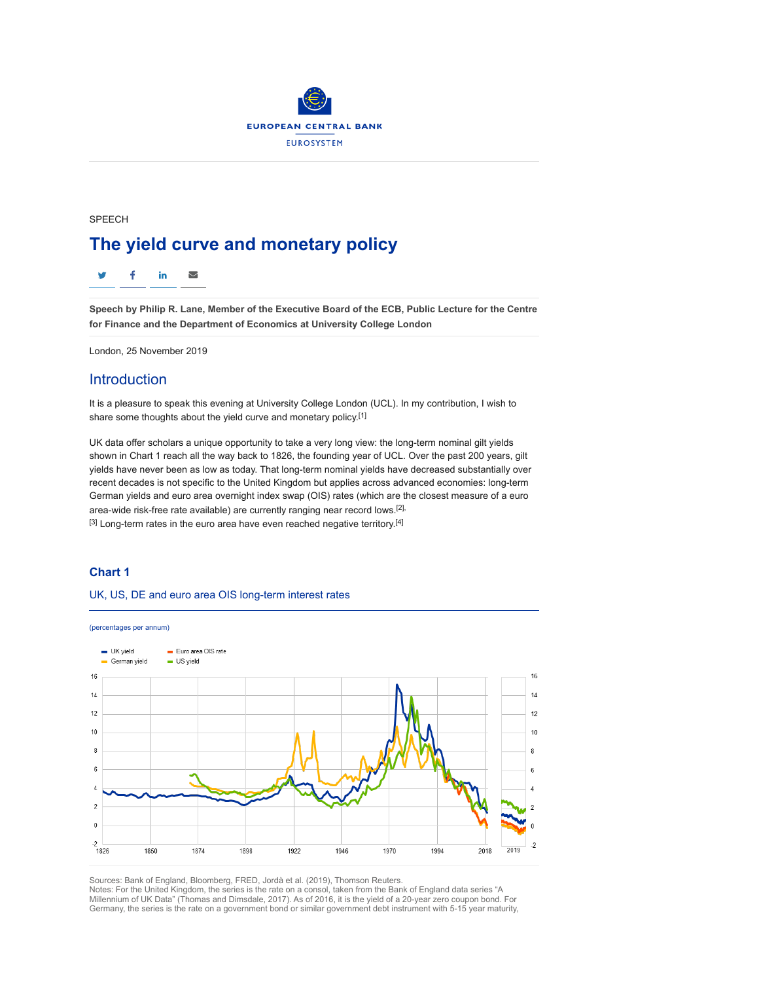

SPEECH

# The yield curve and monetary policy

 $\overline{\smile}$ f in

Speech by Philip R. Lane, Member of the Executive Board of the ECB, Public Lecture for the Centre for Finance and the Department of Economics at University College London

London, 25 November 2019

## Introduction

It is a pleasure to speak this evening at University College London (UCL). In my contribution, I wish to share some thoughts about the yield curve and monetary policy.[1]

UK data offer scholars a unique opportunity to take a very long view: the long-term nominal gilt yields shown in Chart 1 reach all the way back to 1826, the founding year of UCL. Over the past 200 years, gilt yields have never been as low as today. That long-term nominal yields have decreased substantially over recent decades is not specific to the United Kingdom but applies across advanced economies: long-term German yields and euro area overnight index swap (OIS) rates (which are the closest measure of a euro area-wide risk-free rate available) are currently ranging near record lows.<sup>[2],</sup>  $[3]$  Long-term rates in the euro area have even reached negative territory.<sup>[4]</sup>

### Chart 1

### UK, US, DE and euro area OIS long-term interest rates



Sources: Bank of England, Bloomberg, FRED, Jordà et al. (2019), Thomson Reuters. Notes: For the United Kingdom, the series is the rate on a consol, taken from the Bank of England data series "A Millennium of UK Data" (Thomas and Dimsdale, 2017). As of 2016, it is the yield of a 20-year zero coupon bond. For Germany, the series is the rate on a government bond or similar government debt instrument with 5-15 year maturity,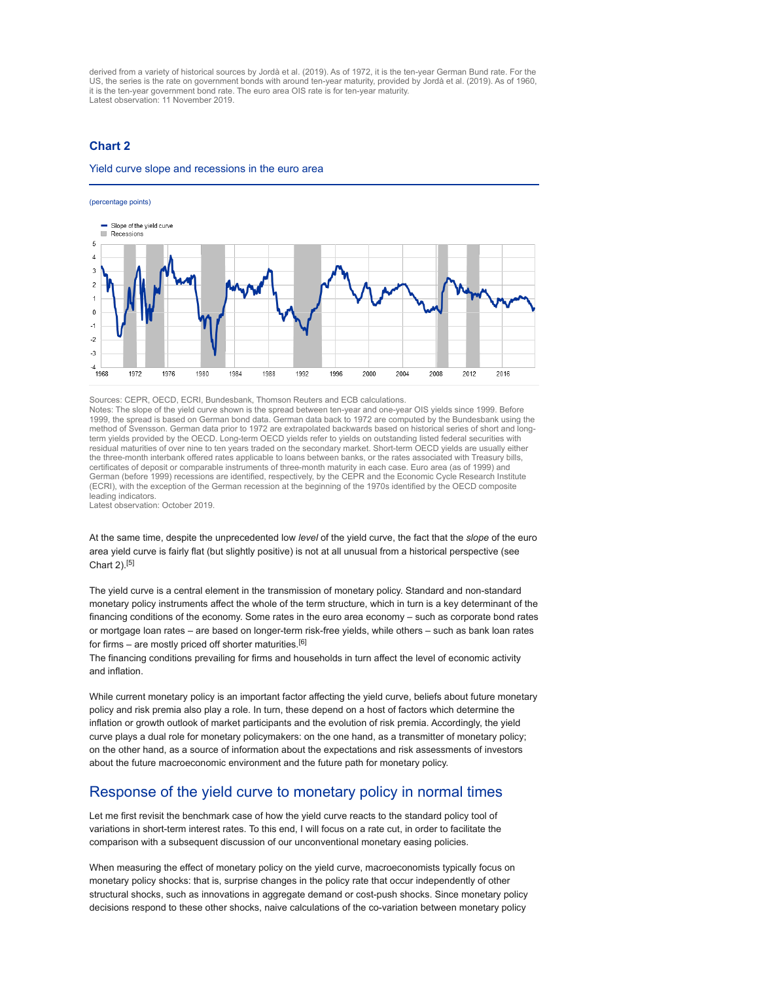derived from a variety of historical sources by Jordà et al. (2019). As of 1972, it is the ten-year German Bund rate. For the US, the series is the rate on government bonds with around ten-year maturity, provided by Jordà et al. (2019). As of 1960, it is the ten-year government bond rate. The euro area OIS rate is for ten-year maturity. Latest observation: 11 November 2019.

### Chart 2

#### Yield curve slope and recessions in the euro area

#### (percentage points)



Sources: CEPR, OECD, ECRI, Bundesbank, Thomson Reuters and ECB calculations.

Notes: The slope of the yield curve shown is the spread between ten-year and one-year OIS yields since 1999. Before 1999, the spread is based on German bond data. German data back to 1972 are computed by the Bundesbank using the method of Svensson. German data prior to 1972 are extrapolated backwards based on historical series of short and longterm yields provided by the OECD. Long-term OECD yields refer to yields on outstanding listed federal securities with residual maturities of over nine to ten years traded on the secondary market. Short-term OECD yields are usually either the three-month interbank offered rates applicable to loans between banks, or the rates associated with Treasury bills, certificates of deposit or comparable instruments of three-month maturity in each case. Euro area (as of 1999) and German (before 1999) recessions are identified, respectively, by the CEPR and the Economic Cycle Research Institute (ECRI), with the exception of the German recession at the beginning of the 1970s identified by the OECD composite leading indicators.

Latest observation: October 2019.

At the same time, despite the unprecedented low level of the yield curve, the fact that the slope of the euro area yield curve is fairly flat (but slightly positive) is not at all unusual from a historical perspective (see Chart 2).[5]

The yield curve is a central element in the transmission of monetary policy. Standard and non-standard monetary policy instruments affect the whole of the term structure, which in turn is a key determinant of the financing conditions of the economy. Some rates in the euro area economy – such as corporate bond rates or mortgage loan rates – are based on longer-term risk-free yields, while others – such as bank loan rates for firms – are mostly priced off shorter maturities.<sup>[6]</sup>

The financing conditions prevailing for firms and households in turn affect the level of economic activity and inflation.

While current monetary policy is an important factor affecting the yield curve, beliefs about future monetary policy and risk premia also play a role. In turn, these depend on a host of factors which determine the inflation or growth outlook of market participants and the evolution of risk premia. Accordingly, the yield curve plays a dual role for monetary policymakers: on the one hand, as a transmitter of monetary policy; on the other hand, as a source of information about the expectations and risk assessments of investors about the future macroeconomic environment and the future path for monetary policy.

### Response of the yield curve to monetary policy in normal times

Let me first revisit the benchmark case of how the yield curve reacts to the standard policy tool of variations in short-term interest rates. To this end, I will focus on a rate cut, in order to facilitate the comparison with a subsequent discussion of our unconventional monetary easing policies.

When measuring the effect of monetary policy on the yield curve, macroeconomists typically focus on monetary policy shocks: that is, surprise changes in the policy rate that occur independently of other structural shocks, such as innovations in aggregate demand or cost-push shocks. Since monetary policy decisions respond to these other shocks, naive calculations of the co-variation between monetary policy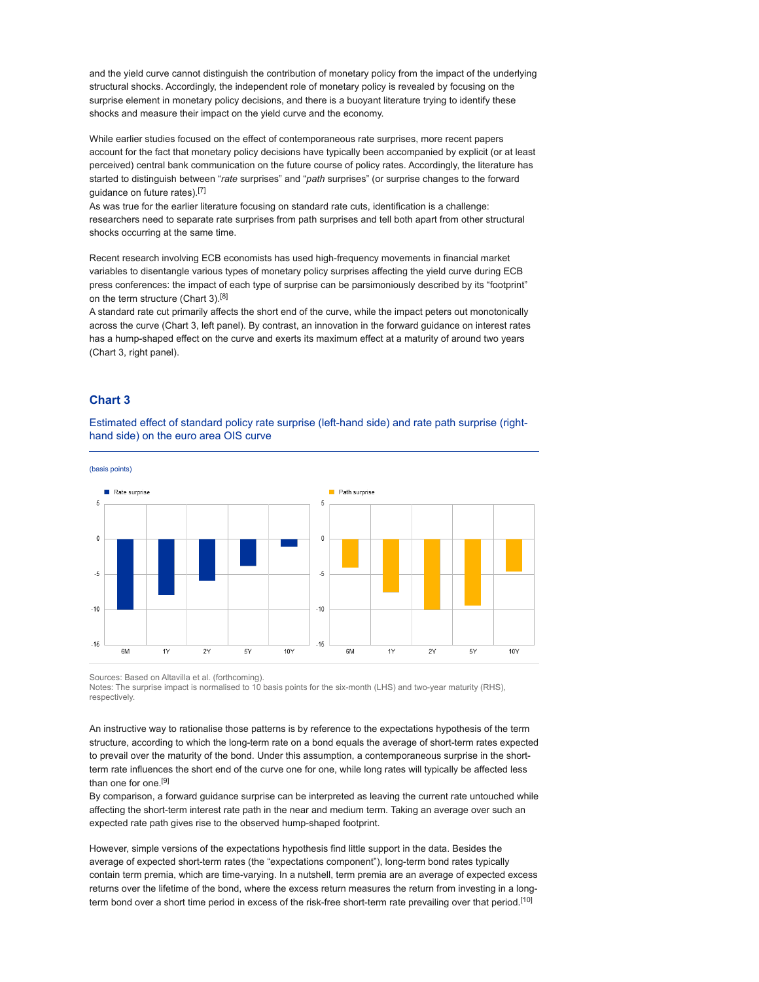and the yield curve cannot distinguish the contribution of monetary policy from the impact of the underlying structural shocks. Accordingly, the independent role of monetary policy is revealed by focusing on the surprise element in monetary policy decisions, and there is a buoyant literature trying to identify these shocks and measure their impact on the yield curve and the economy.

While earlier studies focused on the effect of contemporaneous rate surprises, more recent papers account for the fact that monetary policy decisions have typically been accompanied by explicit (or at least perceived) central bank communication on the future course of policy rates. Accordingly, the literature has started to distinguish between "rate surprises" and "path surprises" (or surprise changes to the forward guidance on future rates).[7]

As was true for the earlier literature focusing on standard rate cuts, identification is a challenge: researchers need to separate rate surprises from path surprises and tell both apart from other structural shocks occurring at the same time.

Recent research involving ECB economists has used high-frequency movements in financial market variables to disentangle various types of monetary policy surprises affecting the yield curve during ECB press conferences: the impact of each type of surprise can be parsimoniously described by its "footprint" on the term structure (Chart 3).<sup>[8]</sup>

A standard rate cut primarily affects the short end of the curve, while the impact peters out monotonically across the curve (Chart 3, left panel). By contrast, an innovation in the forward guidance on interest rates has a hump-shaped effect on the curve and exerts its maximum effect at a maturity of around two years (Chart 3, right panel).

### Chart 3

Estimated effect of standard policy rate surprise (left-hand side) and rate path surprise (righthand side) on the euro area OIS curve



Sources: Based on Altavilla et al. (forthcoming).

Notes: The surprise impact is normalised to 10 basis points for the six-month (LHS) and two-year maturity (RHS), respectively.

An instructive way to rationalise those patterns is by reference to the expectations hypothesis of the term structure, according to which the long-term rate on a bond equals the average of short-term rates expected to prevail over the maturity of the bond. Under this assumption, a contemporaneous surprise in the shortterm rate influences the short end of the curve one for one, while long rates will typically be affected less than one for one.[9]

By comparison, a forward guidance surprise can be interpreted as leaving the current rate untouched while affecting the short-term interest rate path in the near and medium term. Taking an average over such an expected rate path gives rise to the observed hump-shaped footprint.

However, simple versions of the expectations hypothesis find little support in the data. Besides the average of expected short-term rates (the "expectations component"), long-term bond rates typically contain term premia, which are time-varying. In a nutshell, term premia are an average of expected excess returns over the lifetime of the bond, where the excess return measures the return from investing in a longterm bond over a short time period in excess of the risk-free short-term rate prevailing over that period.[10]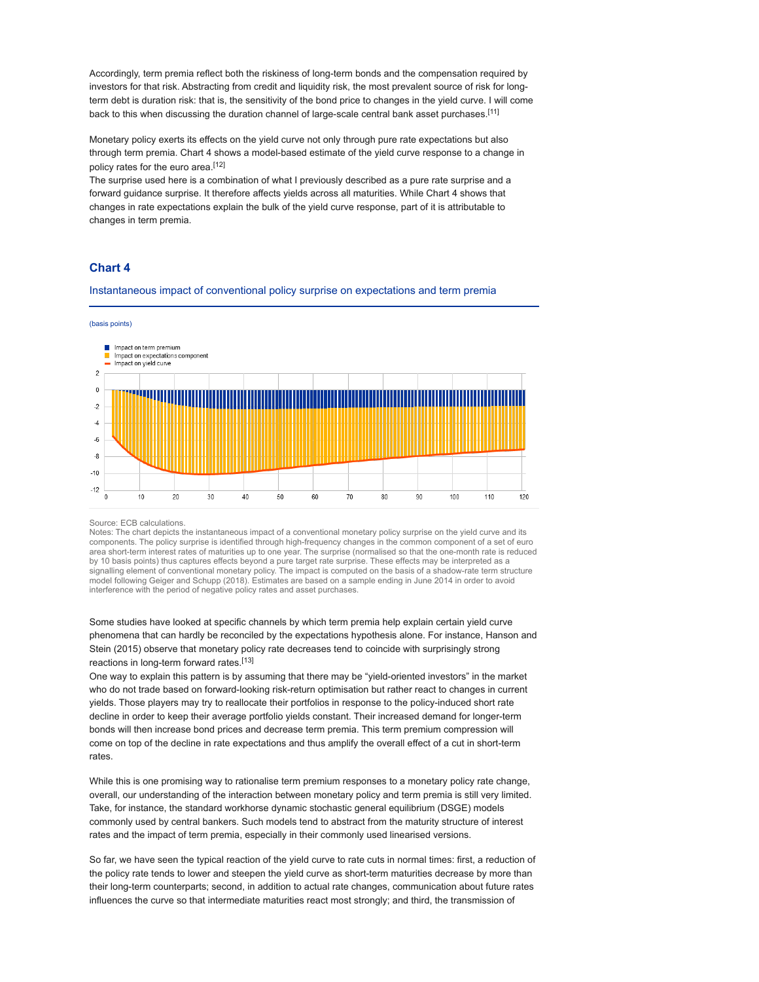Accordingly, term premia reflect both the riskiness of long-term bonds and the compensation required by investors for that risk. Abstracting from credit and liquidity risk, the most prevalent source of risk for longterm debt is duration risk: that is, the sensitivity of the bond price to changes in the yield curve. I will come back to this when discussing the duration channel of large-scale central bank asset purchases.[11]

Monetary policy exerts its effects on the yield curve not only through pure rate expectations but also through term premia. Chart 4 shows a model-based estimate of the yield curve response to a change in policy rates for the euro area.[12]

The surprise used here is a combination of what I previously described as a pure rate surprise and a forward guidance surprise. It therefore affects yields across all maturities. While Chart 4 shows that changes in rate expectations explain the bulk of the yield curve response, part of it is attributable to changes in term premia.

### Chart 4

Instantaneous impact of conventional policy surprise on expectations and term premia



#### Source: ECB calculations.

Notes: The chart depicts the instantaneous impact of a conventional monetary policy surprise on the yield curve and its components. The policy surprise is identified through high-frequency changes in the common component of a set of euro area short-term interest rates of maturities up to one year. The surprise (normalised so that the one-month rate is reduced by 10 basis points) thus captures effects beyond a pure target rate surprise. These effects may be interpreted as a signalling element of conventional monetary policy. The impact is computed on the basis of a shadow-rate term structure<br>model following Geiger and Schupp (2018). Estimates are based on a sample ending in June 2014 in order interference with the period of negative policy rates and asset purchases.

Some studies have looked at specific channels by which term premia help explain certain yield curve phenomena that can hardly be reconciled by the expectations hypothesis alone. For instance, Hanson and Stein (2015) observe that monetary policy rate decreases tend to coincide with surprisingly strong reactions in long-term forward rates.[13]

One way to explain this pattern is by assuming that there may be "yield-oriented investors" in the market who do not trade based on forward-looking risk-return optimisation but rather react to changes in current yields. Those players may try to reallocate their portfolios in response to the policy-induced short rate decline in order to keep their average portfolio yields constant. Their increased demand for longer-term bonds will then increase bond prices and decrease term premia. This term premium compression will come on top of the decline in rate expectations and thus amplify the overall effect of a cut in short-term rates.

While this is one promising way to rationalise term premium responses to a monetary policy rate change, overall, our understanding of the interaction between monetary policy and term premia is still very limited. Take, for instance, the standard workhorse dynamic stochastic general equilibrium (DSGE) models commonly used by central bankers. Such models tend to abstract from the maturity structure of interest rates and the impact of term premia, especially in their commonly used linearised versions.

So far, we have seen the typical reaction of the yield curve to rate cuts in normal times: first, a reduction of the policy rate tends to lower and steepen the yield curve as short-term maturities decrease by more than their long-term counterparts; second, in addition to actual rate changes, communication about future rates influences the curve so that intermediate maturities react most strongly; and third, the transmission of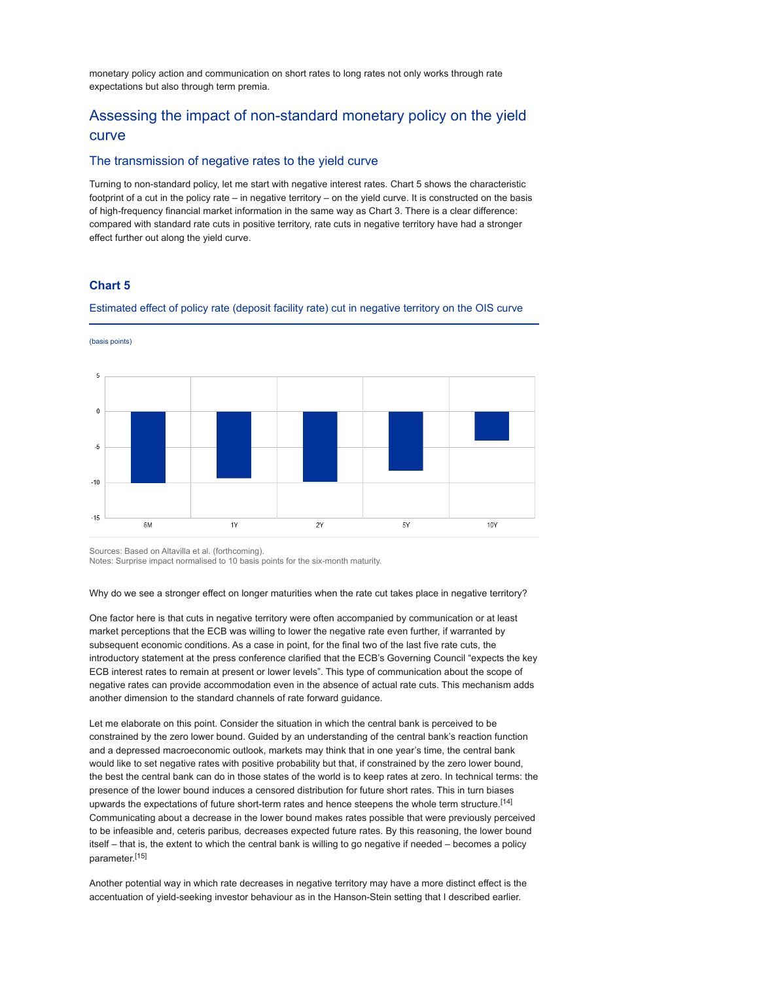monetary policy action and communication on short rates to long rates not only works through rate expectations but also through term premia.

## Assessing the impact of non-standard monetary policy on the yield curve

### The transmission of negative rates to the yield curve

Turning to non-standard policy, let me start with negative interest rates. Chart 5 shows the characteristic footprint of a cut in the policy rate – in negative territory – on the yield curve. It is constructed on the basis of high-frequency financial market information in the same way as Chart 3. There is a clear difference: compared with standard rate cuts in positive territory, rate cuts in negative territory have had a stronger effect further out along the yield curve.

### Chart 5

(basis points)

Estimated effect of policy rate (deposit facility rate) cut in negative territory on the OIS curve



Sources: Based on Altavilla et al. (forthcoming).

Notes: Surprise impact normalised to 10 basis points for the six-month maturity.

Why do we see a stronger effect on longer maturities when the rate cut takes place in negative territory?

One factor here is that cuts in negative territory were often accompanied by communication or at least market perceptions that the ECB was willing to lower the negative rate even further, if warranted by subsequent economic conditions. As a case in point, for the final two of the last five rate cuts, the introductory statement at the press conference clarified that the ECB's Governing Council "expects the key ECB interest rates to remain at present or lower levels". This type of communication about the scope of negative rates can provide accommodation even in the absence of actual rate cuts. This mechanism adds another dimension to the standard channels of rate forward guidance.

Let me elaborate on this point. Consider the situation in which the central bank is perceived to be constrained by the zero lower bound. Guided by an understanding of the central bank's reaction function and a depressed macroeconomic outlook, markets may think that in one year's time, the central bank would like to set negative rates with positive probability but that, if constrained by the zero lower bound, the best the central bank can do in those states of the world is to keep rates at zero. In technical terms: the presence of the lower bound induces a censored distribution for future short rates. This in turn biases upwards the expectations of future short-term rates and hence steepens the whole term structure.[14] Communicating about a decrease in the lower bound makes rates possible that were previously perceived to be infeasible and, ceteris paribus, decreases expected future rates. By this reasoning, the lower bound itself – that is, the extent to which the central bank is willing to go negative if needed – becomes a policy parameter.[15]

Another potential way in which rate decreases in negative territory may have a more distinct effect is the accentuation of yield-seeking investor behaviour as in the Hanson-Stein setting that I described earlier.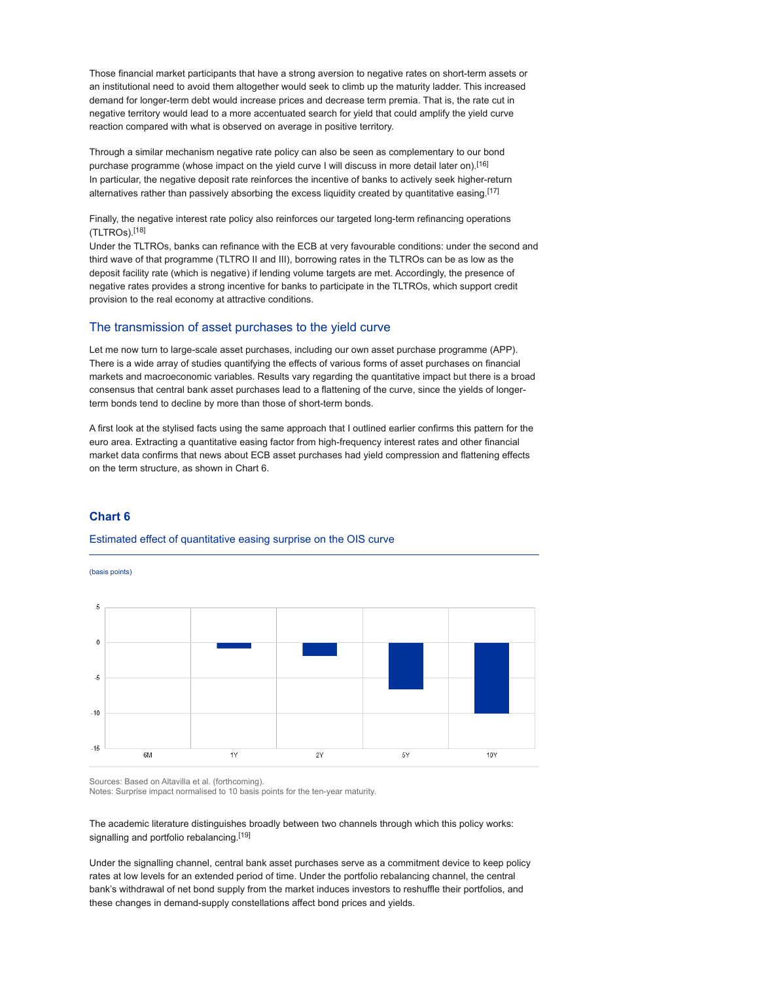Those financial market participants that have a strong aversion to negative rates on short-term assets or an institutional need to avoid them altogether would seek to climb up the maturity ladder. This increased demand for longer-term debt would increase prices and decrease term premia. That is, the rate cut in negative territory would lead to a more accentuated search for yield that could amplify the yield curve reaction compared with what is observed on average in positive territory.

Through a similar mechanism negative rate policy can also be seen as complementary to our bond purchase programme (whose impact on the yield curve I will discuss in more detail later on).[16] In particular, the negative deposit rate reinforces the incentive of banks to actively seek higher-return alternatives rather than passively absorbing the excess liquidity created by quantitative easing.<sup>[17]</sup>

Finally, the negative interest rate policy also reinforces our targeted long-term refinancing operations (TLTROs).[18]

Under the TLTROs, banks can refinance with the ECB at very favourable conditions: under the second and third wave of that programme (TLTRO II and III), borrowing rates in the TLTROs can be as low as the deposit facility rate (which is negative) if lending volume targets are met. Accordingly, the presence of negative rates provides a strong incentive for banks to participate in the TLTROs, which support credit provision to the real economy at attractive conditions.

### The transmission of asset purchases to the yield curve

Let me now turn to large-scale asset purchases, including our own asset purchase programme (APP). There is a wide array of studies quantifying the effects of various forms of asset purchases on financial markets and macroeconomic variables. Results vary regarding the quantitative impact but there is a broad consensus that central bank asset purchases lead to a flattening of the curve, since the yields of longerterm bonds tend to decline by more than those of short-term bonds.

A first look at the stylised facts using the same approach that I outlined earlier confirms this pattern for the euro area. Extracting a quantitative easing factor from high-frequency interest rates and other financial market data confirms that news about ECB asset purchases had yield compression and flattening effects on the term structure, as shown in Chart 6.

### Chart 6

#### Estimated effect of quantitative easing surprise on the OIS curve

(basis points)



Sources: Based on Altavilla et al. (forthcoming).

Notes: Surprise impact normalised to 10 basis points for the ten-year maturity.

The academic literature distinguishes broadly between two channels through which this policy works: signalling and portfolio rebalancing.<sup>[19]</sup>

Under the signalling channel, central bank asset purchases serve as a commitment device to keep policy rates at low levels for an extended period of time. Under the portfolio rebalancing channel, the central bank's withdrawal of net bond supply from the market induces investors to reshuffle their portfolios, and these changes in demand-supply constellations affect bond prices and yields.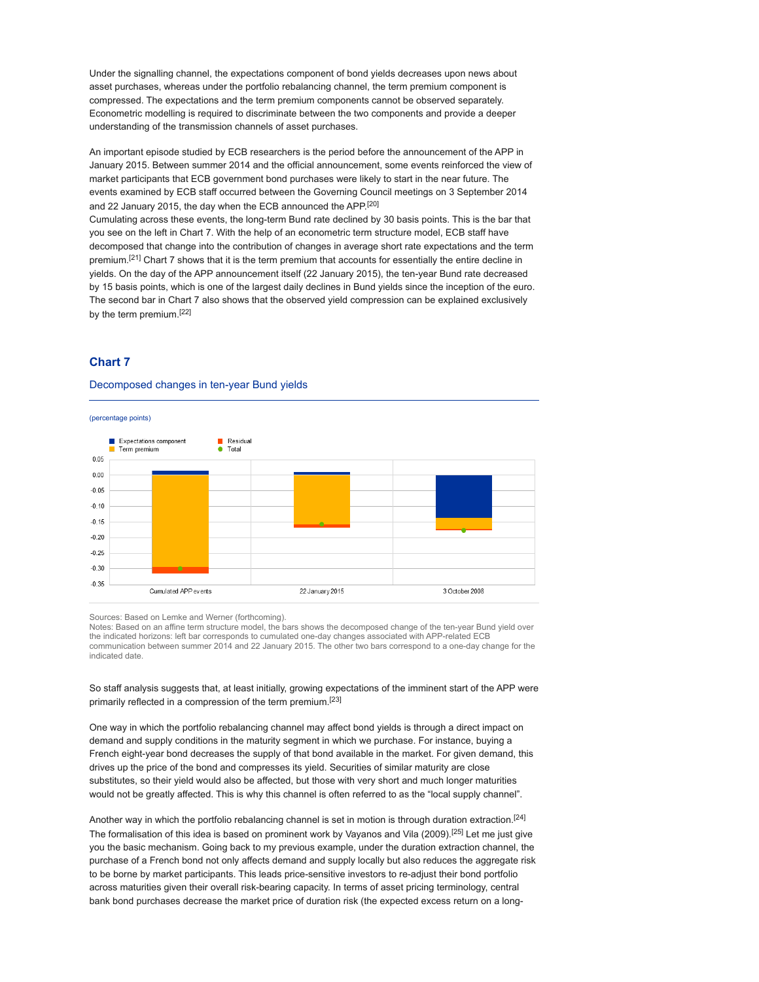Under the signalling channel, the expectations component of bond yields decreases upon news about asset purchases, whereas under the portfolio rebalancing channel, the term premium component is compressed. The expectations and the term premium components cannot be observed separately. Econometric modelling is required to discriminate between the two components and provide a deeper understanding of the transmission channels of asset purchases.

An important episode studied by ECB researchers is the period before the announcement of the APP in January 2015. Between summer 2014 and the official announcement, some events reinforced the view of market participants that ECB government bond purchases were likely to start in the near future. The events examined by ECB staff occurred between the Governing Council meetings on 3 September 2014 and 22 January 2015, the day when the ECB announced the APP.[20] Cumulating across these events, the long-term Bund rate declined by 30 basis points. This is the bar that you see on the left in Chart 7. With the help of an econometric term structure model, ECB staff have decomposed that change into the contribution of changes in average short rate expectations and the term premium.<sup>[21]</sup> Chart 7 shows that it is the term premium that accounts for essentially the entire decline in yields. On the day of the APP announcement itself (22 January 2015), the ten-year Bund rate decreased by 15 basis points, which is one of the largest daily declines in Bund yields since the inception of the euro. The second bar in Chart 7 also shows that the observed yield compression can be explained exclusively by the term premium.[22]

### Chart 7

#### Decomposed changes in ten-year Bund yields



Sources: Based on Lemke and Werner (forthcoming).

Notes: Based on an affine term structure model, the bars shows the decomposed change of the ten-year Bund yield over the indicated horizons: left bar corresponds to cumulated one-day changes associated with APP-related ECB communication between summer 2014 and 22 January 2015. The other two bars correspond to a one-day change for the indicated date.

So staff analysis suggests that, at least initially, growing expectations of the imminent start of the APP were primarily reflected in a compression of the term premium.[23]

One way in which the portfolio rebalancing channel may affect bond yields is through a direct impact on demand and supply conditions in the maturity segment in which we purchase. For instance, buying a French eight-year bond decreases the supply of that bond available in the market. For given demand, this drives up the price of the bond and compresses its yield. Securities of similar maturity are close substitutes, so their yield would also be affected, but those with very short and much longer maturities would not be greatly affected. This is why this channel is often referred to as the "local supply channel".

Another way in which the portfolio rebalancing channel is set in motion is through duration extraction.<sup>[24]</sup> The formalisation of this idea is based on prominent work by Vayanos and Vila (2009).[25] Let me just give you the basic mechanism. Going back to my previous example, under the duration extraction channel, the purchase of a French bond not only affects demand and supply locally but also reduces the aggregate risk to be borne by market participants. This leads price-sensitive investors to re-adjust their bond portfolio across maturities given their overall risk-bearing capacity. In terms of asset pricing terminology, central bank bond purchases decrease the market price of duration risk (the expected excess return on a long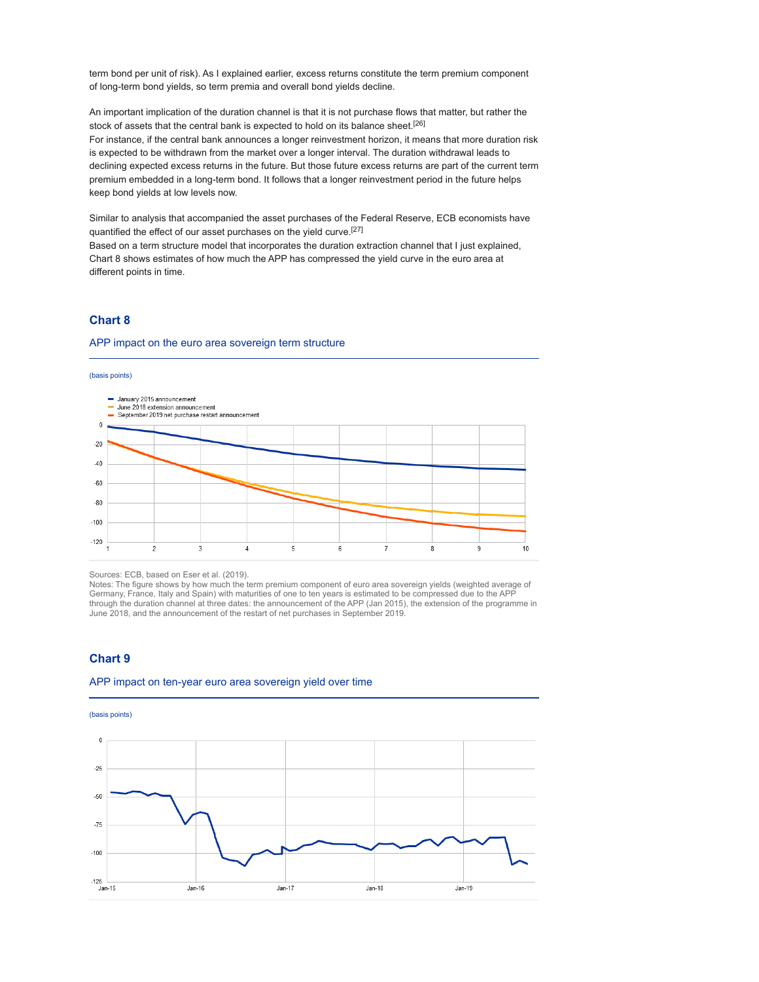term bond per unit of risk). As I explained earlier, excess returns constitute the term premium component of long-term bond yields, so term premia and overall bond yields decline.

An important implication of the duration channel is that it is not purchase flows that matter, but rather the stock of assets that the central bank is expected to hold on its balance sheet.[26] For instance, if the central bank announces a longer reinvestment horizon, it means that more duration risk is expected to be withdrawn from the market over a longer interval. The duration withdrawal leads to declining expected excess returns in the future. But those future excess returns are part of the current term premium embedded in a long-term bond. It follows that a longer reinvestment period in the future helps keep bond yields at low levels now.

Similar to analysis that accompanied the asset purchases of the Federal Reserve, ECB economists have quantified the effect of our asset purchases on the yield curve.[27]

Based on a term structure model that incorporates the duration extraction channel that I just explained, Chart 8 shows estimates of how much the APP has compressed the yield curve in the euro area at different points in time.

### Chart 8

#### APP impact on the euro area sovereign term structure





Sources: ECB, based on Eser et al. (2019).

Notes: The figure shows by how much the term premium component of euro area sovereign yields (weighted average of Germany, France, Italy and Spain) with maturities of one to ten years is estimated to be compressed due to the APP through the duration channel at three dates: the announcement of the APP (Jan 2015), the extension of the programme in June 2018, and the announcement of the restart of net purchases in September 2019.

### Chart 9

### APP impact on ten-year euro area sovereign yield over time

(basis points)

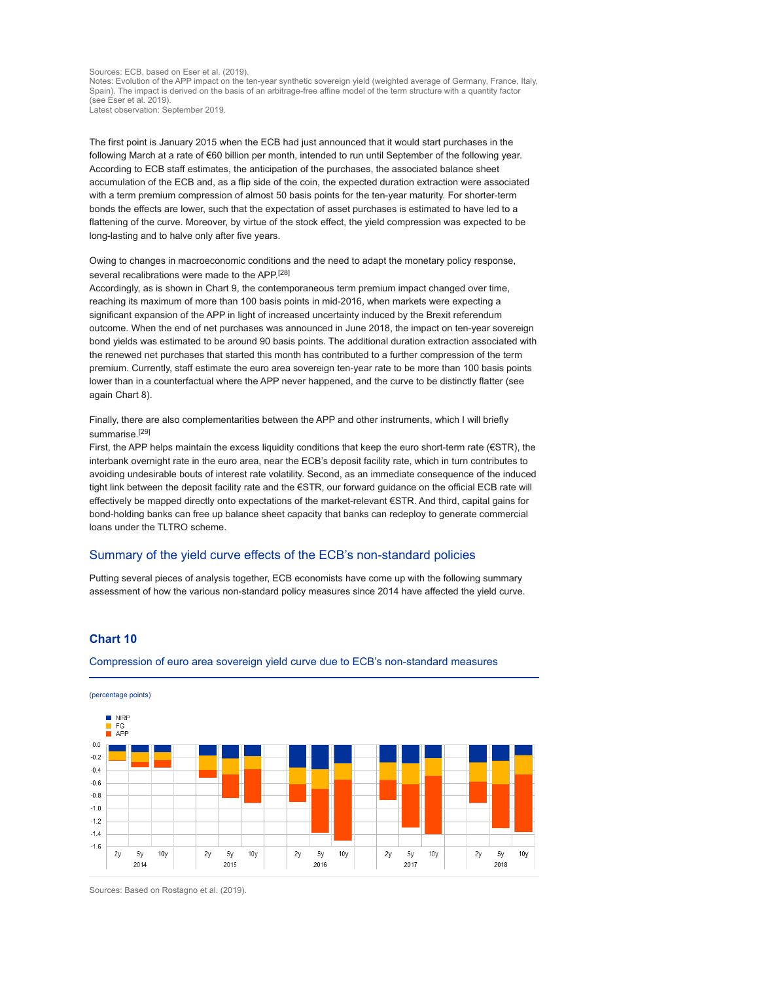Sources: ECB, based on Eser et al. (2019).

Notes: Evolution of the APP impact on the ten-year synthetic sovereign yield (weighted average of Germany, France, Italy, Spain). The impact is derived on the basis of an arbitrage-free affine model of the term structure with a quantity factor (see Eser et al. 2019). Latest observation: September 2019.

The first point is January 2015 when the ECB had just announced that it would start purchases in the following March at a rate of €60 billion per month, intended to run until September of the following year. According to ECB staff estimates, the anticipation of the purchases, the associated balance sheet accumulation of the ECB and, as a flip side of the coin, the expected duration extraction were associated with a term premium compression of almost 50 basis points for the ten-year maturity. For shorter-term bonds the effects are lower, such that the expectation of asset purchases is estimated to have led to a flattening of the curve. Moreover, by virtue of the stock effect, the yield compression was expected to be long-lasting and to halve only after five years.

Owing to changes in macroeconomic conditions and the need to adapt the monetary policy response, several recalibrations were made to the APP.<sup>[28]</sup>

Accordingly, as is shown in Chart 9, the contemporaneous term premium impact changed over time, reaching its maximum of more than 100 basis points in mid-2016, when markets were expecting a significant expansion of the APP in light of increased uncertainty induced by the Brexit referendum outcome. When the end of net purchases was announced in June 2018, the impact on ten-year sovereign bond yields was estimated to be around 90 basis points. The additional duration extraction associated with the renewed net purchases that started this month has contributed to a further compression of the term premium. Currently, staff estimate the euro area sovereign ten-year rate to be more than 100 basis points lower than in a counterfactual where the APP never happened, and the curve to be distinctly flatter (see again Chart 8).

Finally, there are also complementarities between the APP and other instruments, which I will briefly summarise.[29]

First, the APP helps maintain the excess liquidity conditions that keep the euro short-term rate (€STR), the interbank overnight rate in the euro area, near the ECB's deposit facility rate, which in turn contributes to avoiding undesirable bouts of interest rate volatility. Second, as an immediate consequence of the induced tight link between the deposit facility rate and the €STR, our forward guidance on the official ECB rate will effectively be mapped directly onto expectations of the market-relevant €STR. And third, capital gains for bond-holding banks can free up balance sheet capacity that banks can redeploy to generate commercial loans under the TLTRO scheme.

### Summary of the yield curve effects of the ECB's non-standard policies

Putting several pieces of analysis together, ECB economists have come up with the following summary assessment of how the various non-standard policy measures since 2014 have affected the yield curve.

### Chart 10

Compression of euro area sovereign yield curve due to ECB's non-standard measures

(percentage points)



Sources: Based on Rostagno et al. (2019).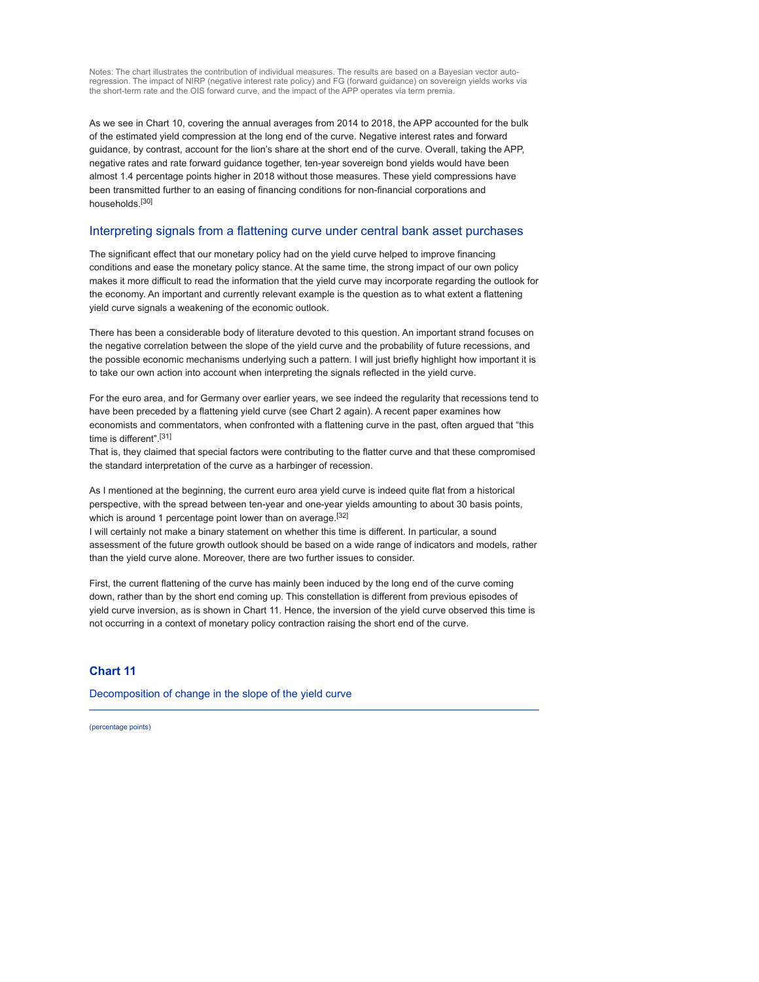Notes: The chart illustrates the contribution of individual measures. The results are based on a Bayesian vector autoregression. The impact of NIRP (negative interest rate policy) and FG (forward guidance) on sovereign yields works via the short-term rate and the OIS forward curve, and the impact of the APP operates via term premia.

As we see in Chart 10, covering the annual averages from 2014 to 2018, the APP accounted for the bulk of the estimated yield compression at the long end of the curve. Negative interest rates and forward guidance, by contrast, account for the lion's share at the short end of the curve. Overall, taking the APP, negative rates and rate forward guidance together, ten-year sovereign bond yields would have been almost 1.4 percentage points higher in 2018 without those measures. These yield compressions have been transmitted further to an easing of financing conditions for non-financial corporations and households.[30]

### Interpreting signals from a flattening curve under central bank asset purchases

The significant effect that our monetary policy had on the yield curve helped to improve financing conditions and ease the monetary policy stance. At the same time, the strong impact of our own policy makes it more difficult to read the information that the yield curve may incorporate regarding the outlook for the economy. An important and currently relevant example is the question as to what extent a flattening yield curve signals a weakening of the economic outlook.

There has been a considerable body of literature devoted to this question. An important strand focuses on the negative correlation between the slope of the yield curve and the probability of future recessions, and the possible economic mechanisms underlying such a pattern. I will just briefly highlight how important it is to take our own action into account when interpreting the signals reflected in the yield curve.

For the euro area, and for Germany over earlier years, we see indeed the regularity that recessions tend to have been preceded by a flattening yield curve (see Chart 2 again). A recent paper examines how economists and commentators, when confronted with a flattening curve in the past, often argued that "this time is different".[31]

That is, they claimed that special factors were contributing to the flatter curve and that these compromised the standard interpretation of the curve as a harbinger of recession.

As I mentioned at the beginning, the current euro area yield curve is indeed quite flat from a historical perspective, with the spread between ten-year and one-year yields amounting to about 30 basis points, which is around 1 percentage point lower than on average.<sup>[32]</sup>

I will certainly not make a binary statement on whether this time is different. In particular, a sound assessment of the future growth outlook should be based on a wide range of indicators and models, rather than the yield curve alone. Moreover, there are two further issues to consider.

First, the current flattening of the curve has mainly been induced by the long end of the curve coming down, rather than by the short end coming up. This constellation is different from previous episodes of yield curve inversion, as is shown in Chart 11. Hence, the inversion of the yield curve observed this time is not occurring in a context of monetary policy contraction raising the short end of the curve.

### Chart 11

Decomposition of change in the slope of the yield curve

(percentage points)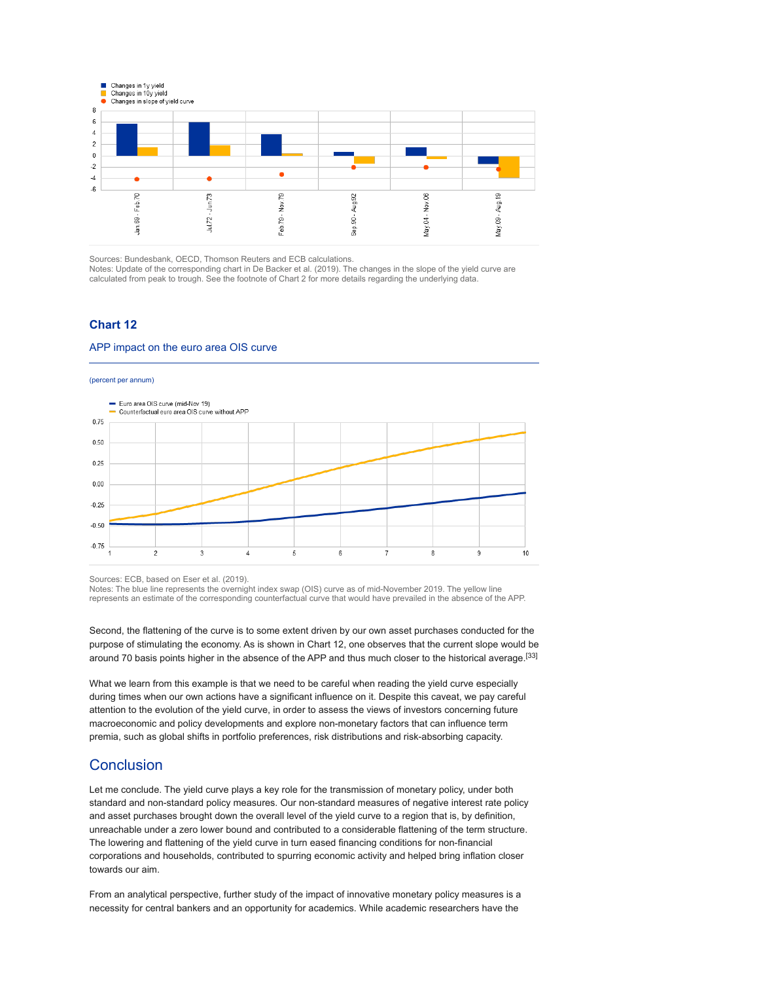

Sources: Bundesbank, OECD, Thomson Reuters and ECB calculations.

Notes: Update of the corresponding chart in De Backer et al. (2019). The changes in the slope of the yield curve are calculated from peak to trough. See the footnote of Chart 2 for more details regarding the underlying data.

### Chart 12

#### APP impact on the euro area OIS curve



Sources: ECB, based on Eser et al. (2019).

Notes: The blue line represents the overnight index swap (OIS) curve as of mid-November 2019. The yellow line represents an estimate of the corresponding counterfactual curve that would have prevailed in the absence of the APP.

Second, the flattening of the curve is to some extent driven by our own asset purchases conducted for the purpose of stimulating the economy. As is shown in Chart 12, one observes that the current slope would be around 70 basis points higher in the absence of the APP and thus much closer to the historical average.[33]

What we learn from this example is that we need to be careful when reading the yield curve especially during times when our own actions have a significant influence on it. Despite this caveat, we pay careful attention to the evolution of the yield curve, in order to assess the views of investors concerning future macroeconomic and policy developments and explore non-monetary factors that can influence term premia, such as global shifts in portfolio preferences, risk distributions and risk-absorbing capacity.

## **Conclusion**

Let me conclude. The yield curve plays a key role for the transmission of monetary policy, under both standard and non-standard policy measures. Our non-standard measures of negative interest rate policy and asset purchases brought down the overall level of the yield curve to a region that is, by definition, unreachable under a zero lower bound and contributed to a considerable flattening of the term structure. The lowering and flattening of the yield curve in turn eased financing conditions for non-financial corporations and households, contributed to spurring economic activity and helped bring inflation closer towards our aim.

From an analytical perspective, further study of the impact of innovative monetary policy measures is a necessity for central bankers and an opportunity for academics. While academic researchers have the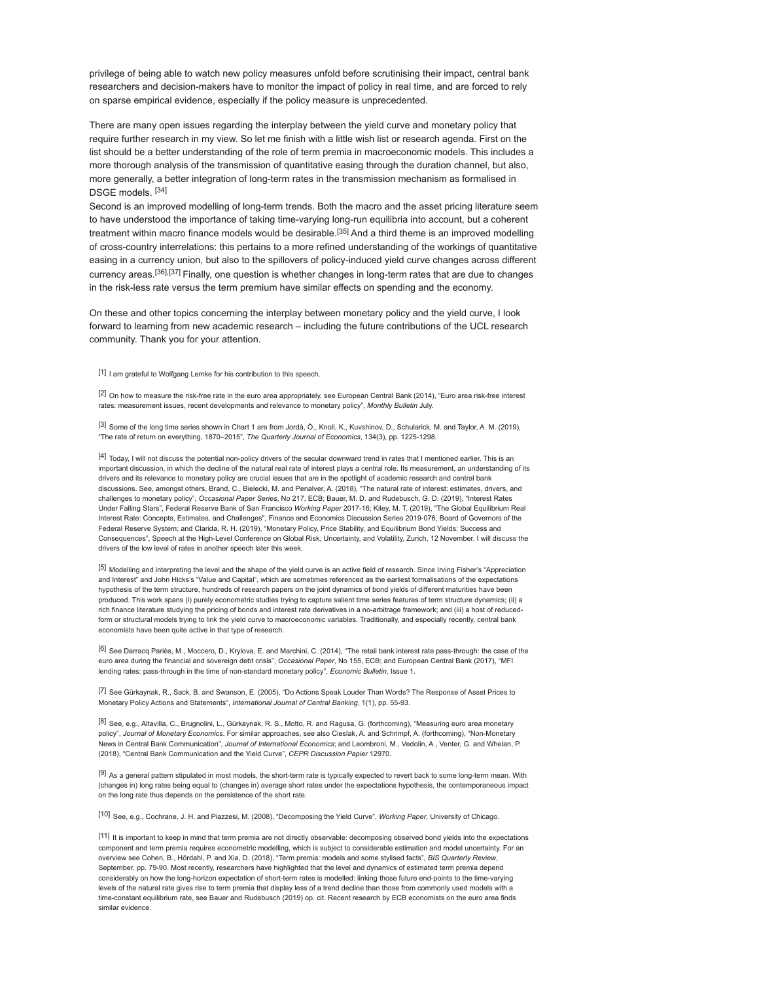privilege of being able to watch new policy measures unfold before scrutinising their impact, central bank researchers and decision-makers have to monitor the impact of policy in real time, and are forced to rely on sparse empirical evidence, especially if the policy measure is unprecedented.

There are many open issues regarding the interplay between the yield curve and monetary policy that require further research in my view. So let me finish with a little wish list or research agenda. First on the list should be a better understanding of the role of term premia in macroeconomic models. This includes a more thorough analysis of the transmission of quantitative easing through the duration channel, but also, more generally, a better integration of long-term rates in the transmission mechanism as formalised in DSGE models. [34]

Second is an improved modelling of long-term trends. Both the macro and the asset pricing literature seem to have understood the importance of taking time-varying long-run equilibria into account, but a coherent treatment within macro finance models would be desirable.<sup>[35]</sup> And a third theme is an improved modelling of cross-country interrelations: this pertains to a more refined understanding of the workings of quantitative easing in a currency union, but also to the spillovers of policy-induced yield curve changes across different currency areas.[36],[37] Finally, one question is whether changes in long-term rates that are due to changes in the risk-less rate versus the term premium have similar effects on spending and the economy.

On these and other topics concerning the interplay between monetary policy and the yield curve, I look forward to learning from new academic research – including the future contributions of the UCL research community. Thank you for your attention.

[1] I am grateful to Wolfgang Lemke for his contribution to this speech.

[2] On how to measure the risk-free rate in the euro area appropriately, see European Central Bank (2014), "Euro area risk-free interest rates: measurement issues, recent developments and relevance to monetary policy", Monthly Bulletin July

[3] Some of the long time series shown in Chart 1 are from Jordà, Ò., Knoll, K., Kuvshinov, D., Schularick, M. and Taylor, A. M. (2019), "The rate of return on everything, 1870–2015", The Quarterly Journal of Economics, 134(3), pp. 1225-1298.

[4] Today, I will not discuss the potential non-policy drivers of the secular downward trend in rates that I mentioned earlier. This is an important discussion, in which the decline of the natural real rate of interest plays a central role. Its measurement, an understanding of its drivers and its relevance to monetary policy are crucial issues that are in the spotlight of academic research and central bank discussions. See, amongst others, Brand, C., Bielecki, M. and Penalver, A. (2018), "The natural rate of interest: estimates, drivers, and challenges to monetary policy", Occasional Paper Series, No 217, ECB; Bauer, M. D. and Rudebusch, G. D. (2019), "Interest Rates Under Falling Stars", Federal Reserve Bank of San Francisco Working Paper 2017-16; Kiley, M. T. (2019), "The Global Equilibrium Real Interest Rate: Concepts, Estimates, and Challenges", Finance and Economics Discussion Series 2019-076, Board of Governors of the Federal Reserve System; and Clarida, R. H. (2019), "Monetary Policy, Price Stability, and Equilibrium Bond Yields: Success and Consequences", Speech at the High-Level Conference on Global Risk, Uncertainty, and Volatility, Zurich, 12 November. I will discuss the drivers of the low level of rates in another speech later this week.

[5] Modelling and interpreting the level and the shape of the yield curve is an active field of research. Since Irving Fisher's "Appreciation and Interest" and John Hicks's "Value and Capital", which are sometimes referenced as the earliest formalisations of the expectations hypothesis of the term structure, hundreds of research papers on the joint dynamics of bond yields of different maturities have been produced. This work spans (i) purely econometric studies trying to capture salient time series features of term structure dynamics; (ii) a rich finance literature studying the pricing of bonds and interest rate derivatives in a no-arbitrage framework; and (iii) a host of reducedform or structural models trying to link the yield curve to macroeconomic variables. Traditionally, and especially recently, central bank economists have been quite active in that type of research.

[6] See Darracq Pariès, M., Moccero, D., Krylova, E. and Marchini, C. (2014), "The retail bank interest rate pass-through: the case of the euro area during the financial and sovereign debt crisis", Occasional Paper, No 155, ECB; and European Central Bank (2017), "MFI lending rates: pass-through in the time of non-standard monetary policy", Economic Bulletin, Issue 1.

[7] See Gürkaynak, R., Sack, B. and Swanson, E. (2005), "Do Actions Speak Louder Than Words? The Response of Asset Prices to Monetary Policy Actions and Statements", International Journal of Central Banking, 1(1), pp. 55-93.

[8] See, e.g., Altavilla, C., Brugnolini, L., Gürkaynak, R. S., Motto, R. and Ragusa, G. (forthcoming), "Measuring euro area monetary policy", Journal of Monetary Economics. For similar approaches, see also Cieslak, A. and Schrimpf, A. (forthcoming), "Non-Monetary News in Central Bank Communication", Journal of International Economics; and Leombroni, M., Vedolin, A., Venter, G. and Whelan, P. (2018), "Central Bank Communication and the Yield Curve", CEPR Discussion Papier 12970.

[9] As a general pattern stipulated in most models, the short-term rate is typically expected to revert back to some long-term mean. With (changes in) long rates being equal to (changes in) average short rates under the expectations hypothesis, the contemporaneous impact on the long rate thus depends on the persistence of the short rate.

[10] See, e.g., Cochrane, J. H. and Piazzesi, M. (2008), "Decomposing the Yield Curve", Working Paper, University of Chicago.

[11] It is important to keep in mind that term premia are not directly observable: decomposing observed bond yields into the expectations component and term premia requires econometric modelling, which is subject to considerable estimation and model uncertainty. For an overview see Cohen, B., Hördahl, P. and Xia, D. (2018), "Term premia: models and some stylised facts", BIS Quarterly Review, September, pp. 79-90. Most recently, researchers have highlighted that the level and dynamics of estimated term premia depend considerably on how the long-horizon expectation of short-term rates is modelled: linking those future end-points to the time-varying levels of the natural rate gives rise to term premia that display less of a trend decline than those from commonly used models with a time-constant equilibrium rate, see Bauer and Rudebusch (2019) op. cit. Recent research by ECB economists on the euro area finds similar evidence.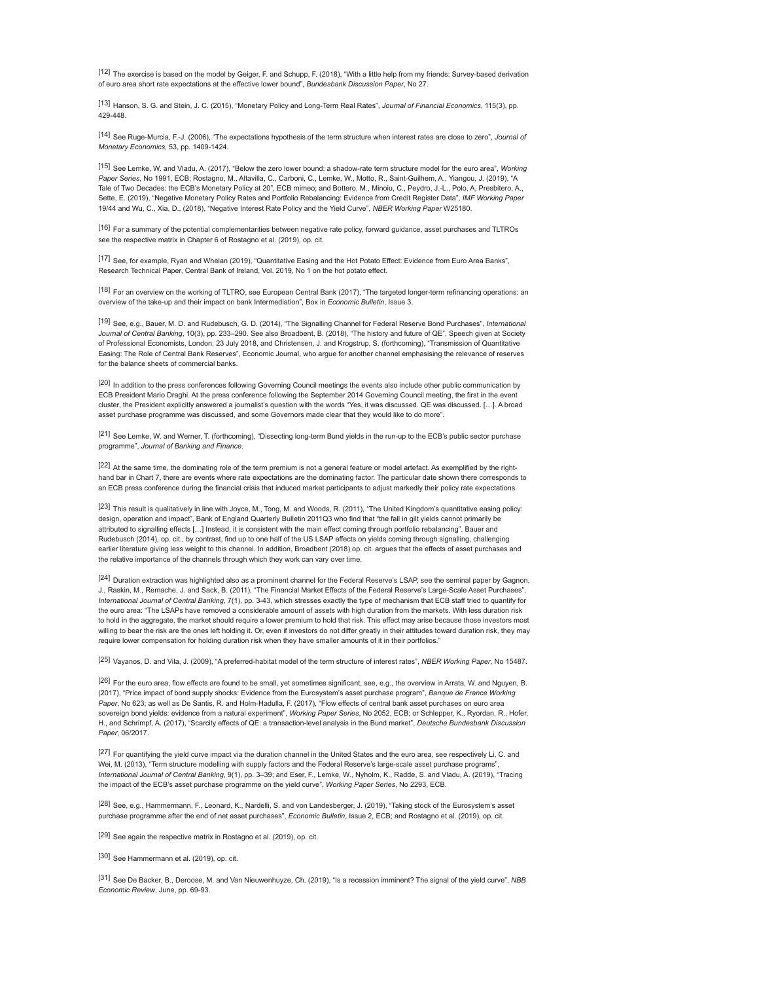[12] The exercise is based on the model by Geiger, F. and Schupp, F. (2018), "With a little help from my friends: Survey-based derivation of euro area short rate expectations at the effective lower bound", Bundesbank Discussion Paper, No 27.

[13] Hanson, S. G. and Stein, J. C. (2015), "Monetary Policy and Long-Term Real Rates", Journal of Financial Economics, 115(3), pp. 429-448.

[14] See Ruge-Murcia, F.-J. (2006), "The expectations hypothesis of the term structure when interest rates are close to zero", Journal of Monetary Economics, 53, pp. 1409-1424.

[15] See Lemke, W. and Vladu, A. (2017), "Below the zero lower bound: a shadow-rate term structure model for the euro area", Working Paper Series, No 1991, ECB; Rostagno, M., Altavilla, C., Carboni, C., Lemke, W., Motto, R., Saint-Guilhem, A., Yiangou, J. (2019), "A Tale of Two Decades: the ECB's Monetary Policy at 20", ECB mimeo; and Bottero, M., Minoiu, C., Peydro, J.-L., Polo, A, Presbitero, A., Sette, E. (2019), "Negative Monetary Policy Rates and Portfolio Rebalancing: Evidence from Credit Register Data", IMF Working Paper 19/44 and Wu, C., Xia, D., (2018), "Negative Interest Rate Policy and the Yield Curve", NBER Working Paper W25180.

[16] For a summary of the potential complementarities between negative rate policy, forward guidance, asset purchases and TLTROs see the respective matrix in Chapter 6 of Rostagno et al. (2019), op. cit.

[17] See, for example, Ryan and Whelan (2019), "Quantitative Easing and the Hot Potato Effect: Evidence from Euro Area Banks", Research Technical Paper, Central Bank of Ireland, Vol. 2019, No 1 on the hot potato effect.

[18] For an overview on the working of TLTRO, see European Central Bank (2017), "The targeted longer-term refinancing operations: an overview of the take-up and their impact on bank Intermediation", Box in Economic Bulletin, Issue 3.

[19] See, e.g., Bauer, M. D. and Rudebusch, G. D. (2014), "The Signalling Channel for Federal Reserve Bond Purchases", International Journal of Central Banking, 10(3), pp. 233-290. See also Broadbent, B. (2018), "The history and future of QE", Speech given at Society of Professional Economists, London, 23 July 2018, and Christensen, J. and Krogstrup, S. (forthcoming), "Transmission of Quantitative Easing: The Role of Central Bank Reserves", Economic Journal, who argue for another channel emphasising the relevance of reserves for the balance sheets of commercial banks.

[20] In addition to the press conferences following Governing Council meetings the events also include other public communication by ECB President Mario Draghi. At the press conference following the September 2014 Governing Council meeting, the first in the event cluster, the President explicitly answered a journalist's question with the words "Yes, it was discussed. QE was discussed. […]. A broad asset purchase programme was discussed, and some Governors made clear that they would like to do more".

[21] See Lemke, W. and Werner, T. (forthcoming), "Dissecting long-term Bund yields in the run-up to the ECB's public sector purchase programme", Journal of Banking and Finance.

[22] At the same time, the dominating role of the term premium is not a general feature or model artefact. As exemplified by the righthand bar in Chart 7, there are events where rate expectations are the dominating factor. The particular date shown there corresponds to an ECB press conference during the financial crisis that induced market participants to adjust markedly their policy rate expectations.

[23] This result is qualitatively in line with Joyce, M., Tong, M. and Woods, R. (2011), "The United Kingdom's quantitative easing policy: design, operation and impact", Bank of England Quarterly Bulletin 2011Q3 who find that "the fall in gilt yields cannot primarily be attributed to signalling effects […] Instead, it is consistent with the main effect coming through portfolio rebalancing". Bauer and Rudebusch (2014), op. cit., by contrast, find up to one half of the US LSAP effects on yields coming through signalling, challenging earlier literature giving less weight to this channel. In addition, Broadbent (2018) op. cit. argues that the effects of asset purchases and the relative importance of the channels through which they work can vary over time.

[24] Duration extraction was highlighted also as a prominent channel for the Federal Reserve's LSAP, see the seminal paper by Gagnon, J., Raskin, M., Remache, J. and Sack, B. (2011), "The Financial Market Effects of the Federal Reserve's Large-Scale Asset Purchases", International Journal of Central Banking, 7(1), pp. 3-43, which stresses exactly the type of mechanism that ECB staff tried to quantify for the euro area: "The LSAPs have removed a considerable amount of assets with high duration from the markets. With less duration risk to hold in the aggregate, the market should require a lower premium to hold that risk. This effect may arise because those investors most willing to bear the risk are the ones left holding it. Or, even if investors do not differ greatly in their attitudes toward duration risk, they may require lower compensation for holding duration risk when they have smaller amounts of it in their portfolios."

[25] Vayanos, D. and Vila, J. (2009), "A preferred-habitat model of the term structure of interest rates", NBER Working Paper, No 15487.

[26] For the euro area, flow effects are found to be small, yet sometimes significant, see, e.g., the overview in Arrata, W. and Nguyen, B. (2017), "Price impact of bond supply shocks: Evidence from the Eurosystem's asset purchase program", Banque de France Working Paper, No 623; as well as De Santis, R. and Holm-Hadulla, F. (2017), "Flow effects of central bank asset purchases on euro area sovereign bond yields: evidence from a natural experiment", *Working Paper Series*, No 2052, ECB; or Schlepper, K., Ryordan, R., Hofer, H., and Schrimpf, A. (2017), "Scarcity effects of QE: a transaction-level analysis in the Bund market", Deutsche Bundesbank Discussion Paper, 06/2017.

[27] For quantifying the yield curve impact via the duration channel in the United States and the euro area, see respectively Li, C. and Wei, M. (2013), "Term structure modelling with supply factors and the Federal Reserve's large-scale asset purchase programs", International Journal of Central Banking, 9(1), pp. 3–39; and Eser, F., Lemke, W., Nyholm, K., Radde, S. and Vladu, A. (2019), "Tracing the impact of the ECB's asset purchase programme on the yield curve", Working Paper Series, No 2293, ECB.

[28] See, e.g., Hammermann, F., Leonard, K., Nardelli, S. and von Landesberger, J. (2019), "Taking stock of the Eurosystem's asset purchase programme after the end of net asset purchases", Economic Bulletin, Issue 2, ECB; and Rostagno et al. (2019), op. cit.

[29] See again the respective matrix in Rostagno et al. (2019), op. cit.

[30] See Hammermann et al. (2019), op. cit.

[31] See De Backer, B., Deroose, M. and Van Nieuwenhuyze, Ch. (2019), "Is a recession imminent? The signal of the yield curve", NBB Economic Review, June, pp. 69-93.